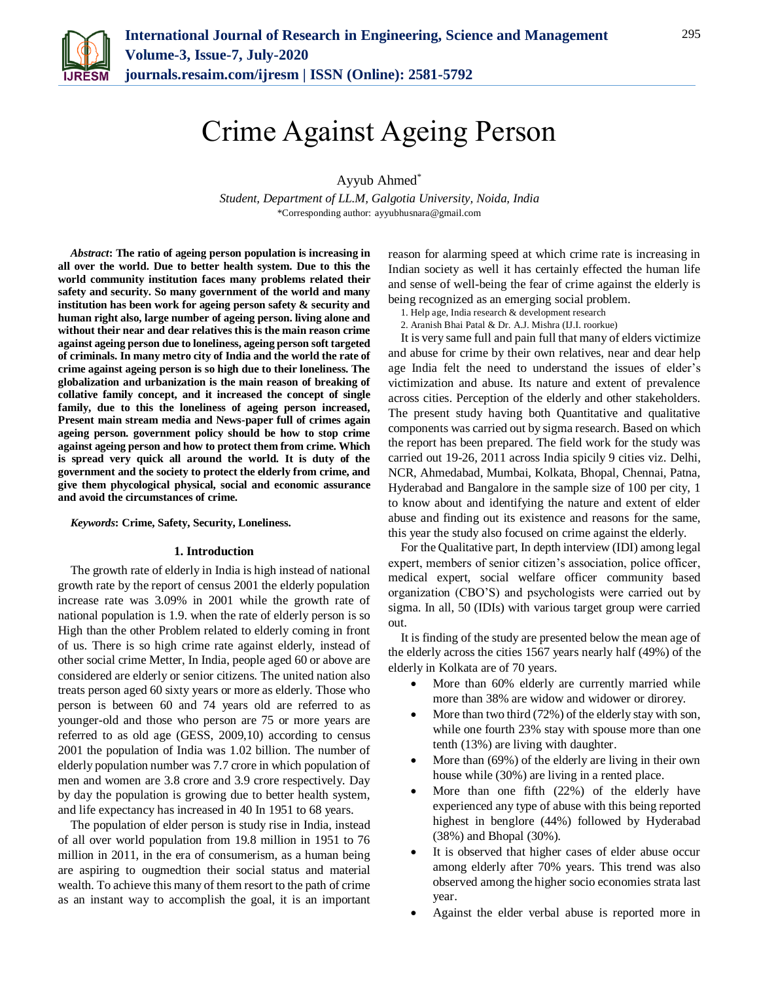

# Crime Against Ageing Person

Ayyub Ahmed\*

*Student, Department of LL.M, Galgotia University, Noida, India* \*Corresponding author: ayyubhusnara@gmail.com

*Abstract***: The ratio of ageing person population is increasing in all over the world. Due to better health system. Due to this the world community institution faces many problems related their safety and security. So many government of the world and many institution has been work for ageing person safety & security and human right also, large number of ageing person. living alone and without their near and dear relatives this is the main reason crime against ageing person due to loneliness, ageing person soft targeted of criminals. In many metro city of India and the world the rate of crime against ageing person is so high due to their loneliness. The globalization and urbanization is the main reason of breaking of collative family concept, and it increased the concept of single family, due to this the loneliness of ageing person increased, Present main stream media and News-paper full of crimes again ageing person. government policy should be how to stop crime against ageing person and how to protect them from crime. Which is spread very quick all around the world. It is duty of the government and the society to protect the elderly from crime, and give them phycological physical, social and economic assurance and avoid the circumstances of crime.** 

## *Keywords***: Crime, Safety, Security, Loneliness.**

#### **1. Introduction**

The growth rate of elderly in India is high instead of national growth rate by the report of census 2001 the elderly population increase rate was 3.09% in 2001 while the growth rate of national population is 1.9. when the rate of elderly person is so High than the other Problem related to elderly coming in front of us. There is so high crime rate against elderly, instead of other social crime Metter, In India, people aged 60 or above are considered are elderly or senior citizens. The united nation also treats person aged 60 sixty years or more as elderly. Those who person is between 60 and 74 years old are referred to as younger-old and those who person are 75 or more years are referred to as old age (GESS, 2009,10) according to census 2001 the population of India was 1.02 billion. The number of elderly population number was 7.7 crore in which population of men and women are 3.8 crore and 3.9 crore respectively. Day by day the population is growing due to better health system, and life expectancy has increased in 40 In 1951 to 68 years.

The population of elder person is study rise in India, instead of all over world population from 19.8 million in 1951 to 76 million in 2011, in the era of consumerism, as a human being are aspiring to ougmedtion their social status and material wealth. To achieve this many of them resort to the path of crime as an instant way to accomplish the goal, it is an important

reason for alarming speed at which crime rate is increasing in Indian society as well it has certainly effected the human life and sense of well-being the fear of crime against the elderly is being recognized as an emerging social problem.

- 1. Help age, India research & development research
- 2. Aranish Bhai Patal & Dr. A.J. Mishra (IJ.I. roorkue)

It is very same full and pain full that many of elders victimize and abuse for crime by their own relatives, near and dear help age India felt the need to understand the issues of elder's victimization and abuse. Its nature and extent of prevalence across cities. Perception of the elderly and other stakeholders. The present study having both Quantitative and qualitative components was carried out by sigma research. Based on which the report has been prepared. The field work for the study was carried out 19-26, 2011 across India spicily 9 cities viz. Delhi, NCR, Ahmedabad, Mumbai, Kolkata, Bhopal, Chennai, Patna, Hyderabad and Bangalore in the sample size of 100 per city, 1 to know about and identifying the nature and extent of elder abuse and finding out its existence and reasons for the same, this year the study also focused on crime against the elderly.

For the Qualitative part, In depth interview (IDI) among legal expert, members of senior citizen's association, police officer, medical expert, social welfare officer community based organization (CBO'S) and psychologists were carried out by sigma. In all, 50 (IDIs) with various target group were carried out.

It is finding of the study are presented below the mean age of the elderly across the cities 1567 years nearly half (49%) of the elderly in Kolkata are of 70 years.

- More than 60% elderly are currently married while more than 38% are widow and widower or dirorey.
- More than two third (72%) of the elderly stay with son, while one fourth 23% stay with spouse more than one tenth (13%) are living with daughter.
- More than (69%) of the elderly are living in their own house while (30%) are living in a rented place.
- More than one fifth (22%) of the elderly have experienced any type of abuse with this being reported highest in benglore (44%) followed by Hyderabad (38%) and Bhopal (30%).
- It is observed that higher cases of elder abuse occur among elderly after 70% years. This trend was also observed among the higher socio economies strata last year.
- Against the elder verbal abuse is reported more in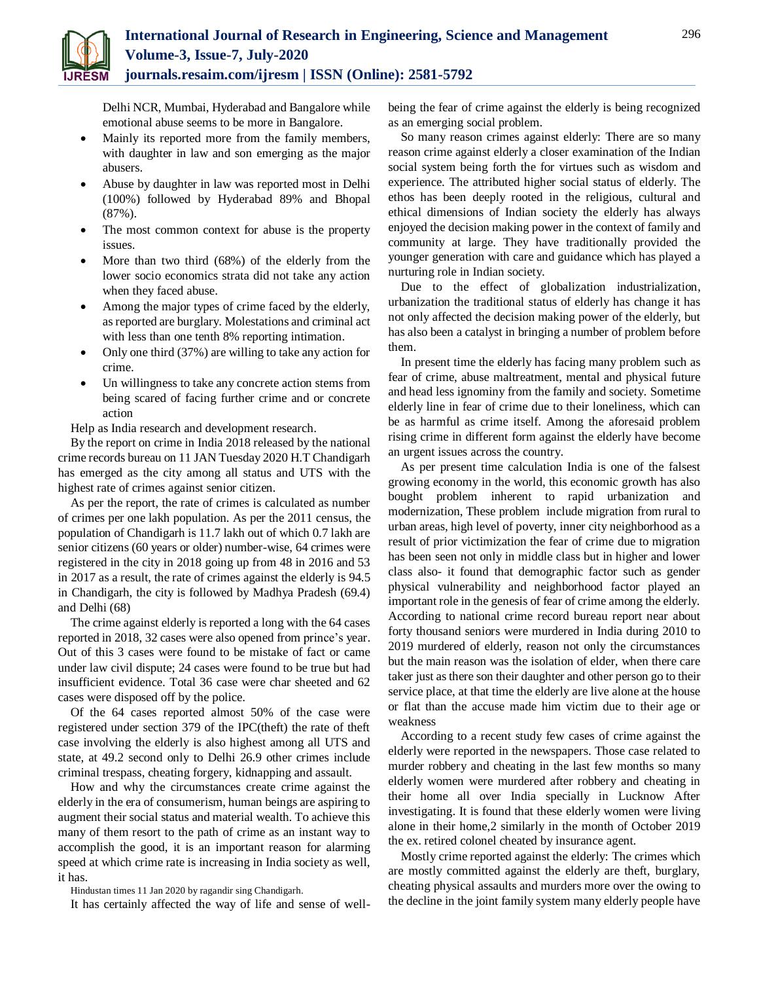

Delhi NCR, Mumbai, Hyderabad and Bangalore while emotional abuse seems to be more in Bangalore.

- Mainly its reported more from the family members, with daughter in law and son emerging as the major abusers.
- Abuse by daughter in law was reported most in Delhi (100%) followed by Hyderabad 89% and Bhopal (87%).
- The most common context for abuse is the property issues.
- More than two third (68%) of the elderly from the lower socio economics strata did not take any action when they faced abuse.
- Among the major types of crime faced by the elderly, as reported are burglary. Molestations and criminal act with less than one tenth 8% reporting intimation.
- Only one third (37%) are willing to take any action for crime.
- Un willingness to take any concrete action stems from being scared of facing further crime and or concrete action

Help as India research and development research.

By the report on crime in India 2018 released by the national crime records bureau on 11 JAN Tuesday 2020 H.T Chandigarh has emerged as the city among all status and UTS with the highest rate of crimes against senior citizen.

As per the report, the rate of crimes is calculated as number of crimes per one lakh population. As per the 2011 census, the population of Chandigarh is 11.7 lakh out of which 0.7 lakh are senior citizens (60 years or older) number-wise, 64 crimes were registered in the city in 2018 going up from 48 in 2016 and 53 in 2017 as a result, the rate of crimes against the elderly is 94.5 in Chandigarh, the city is followed by Madhya Pradesh (69.4) and Delhi (68)

The crime against elderly is reported a long with the 64 cases reported in 2018, 32 cases were also opened from prince's year. Out of this 3 cases were found to be mistake of fact or came under law civil dispute; 24 cases were found to be true but had insufficient evidence. Total 36 case were char sheeted and 62 cases were disposed off by the police.

Of the 64 cases reported almost 50% of the case were registered under section 379 of the IPC(theft) the rate of theft case involving the elderly is also highest among all UTS and state, at 49.2 second only to Delhi 26.9 other crimes include criminal trespass, cheating forgery, kidnapping and assault.

How and why the circumstances create crime against the elderly in the era of consumerism, human beings are aspiring to augment their social status and material wealth. To achieve this many of them resort to the path of crime as an instant way to accomplish the good, it is an important reason for alarming speed at which crime rate is increasing in India society as well, it has.

Hindustan times 11 Jan 2020 by ragandir sing Chandigarh.

It has certainly affected the way of life and sense of well-

being the fear of crime against the elderly is being recognized as an emerging social problem.

So many reason crimes against elderly: There are so many reason crime against elderly a closer examination of the Indian social system being forth the for virtues such as wisdom and experience. The attributed higher social status of elderly. The ethos has been deeply rooted in the religious, cultural and ethical dimensions of Indian society the elderly has always enjoyed the decision making power in the context of family and community at large. They have traditionally provided the younger generation with care and guidance which has played a nurturing role in Indian society.

Due to the effect of globalization industrialization, urbanization the traditional status of elderly has change it has not only affected the decision making power of the elderly, but has also been a catalyst in bringing a number of problem before them.

In present time the elderly has facing many problem such as fear of crime, abuse maltreatment, mental and physical future and head less ignominy from the family and society. Sometime elderly line in fear of crime due to their loneliness, which can be as harmful as crime itself. Among the aforesaid problem rising crime in different form against the elderly have become an urgent issues across the country.

As per present time calculation India is one of the falsest growing economy in the world, this economic growth has also bought problem inherent to rapid urbanization and modernization, These problem include migration from rural to urban areas, high level of poverty, inner city neighborhood as a result of prior victimization the fear of crime due to migration has been seen not only in middle class but in higher and lower class also- it found that demographic factor such as gender physical vulnerability and neighborhood factor played an important role in the genesis of fear of crime among the elderly. According to national crime record bureau report near about forty thousand seniors were murdered in India during 2010 to 2019 murdered of elderly, reason not only the circumstances but the main reason was the isolation of elder, when there care taker just as there son their daughter and other person go to their service place, at that time the elderly are live alone at the house or flat than the accuse made him victim due to their age or weakness

According to a recent study few cases of crime against the elderly were reported in the newspapers. Those case related to murder robbery and cheating in the last few months so many elderly women were murdered after robbery and cheating in their home all over India specially in Lucknow After investigating. It is found that these elderly women were living alone in their home,2 similarly in the month of October 2019 the ex. retired colonel cheated by insurance agent.

Mostly crime reported against the elderly: The crimes which are mostly committed against the elderly are theft, burglary, cheating physical assaults and murders more over the owing to the decline in the joint family system many elderly people have